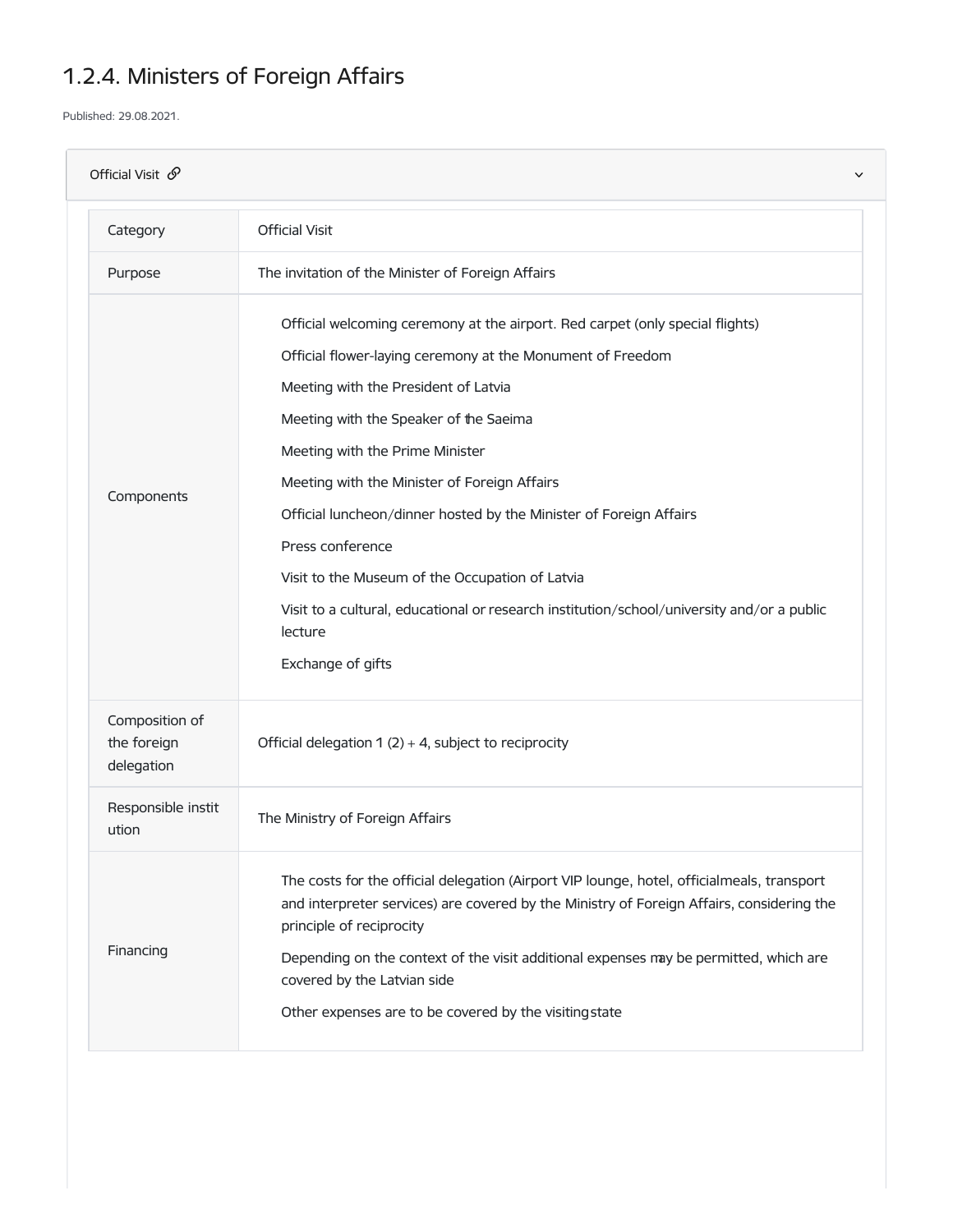## 1.2.4. Ministers of Foreign Affairs

Published: 29.08.2021.

| Official Visit $\mathcal{S}$<br>$\checkmark$ |                                                                                                                                                                                                                                                                                                                                                                                                                                                                                                                                                                                             |  |
|----------------------------------------------|---------------------------------------------------------------------------------------------------------------------------------------------------------------------------------------------------------------------------------------------------------------------------------------------------------------------------------------------------------------------------------------------------------------------------------------------------------------------------------------------------------------------------------------------------------------------------------------------|--|
| Category                                     | <b>Official Visit</b>                                                                                                                                                                                                                                                                                                                                                                                                                                                                                                                                                                       |  |
| Purpose                                      | The invitation of the Minister of Foreign Affairs                                                                                                                                                                                                                                                                                                                                                                                                                                                                                                                                           |  |
| Components                                   | Official welcoming ceremony at the airport. Red carpet (only special flights)<br>Official flower-laying ceremony at the Monument of Freedom<br>Meeting with the President of Latvia<br>Meeting with the Speaker of the Saeima<br>Meeting with the Prime Minister<br>Meeting with the Minister of Foreign Affairs<br>Official luncheon/dinner hosted by the Minister of Foreign Affairs<br>Press conference<br>Visit to the Museum of the Occupation of Latvia<br>Visit to a cultural, educational or research institution/school/university and/or a public<br>lecture<br>Exchange of gifts |  |
| Composition of<br>the foreign<br>delegation  | Official delegation 1 $(2) + 4$ , subject to reciprocity                                                                                                                                                                                                                                                                                                                                                                                                                                                                                                                                    |  |
| Responsible instit<br>ution                  | The Ministry of Foreign Affairs                                                                                                                                                                                                                                                                                                                                                                                                                                                                                                                                                             |  |
| Financing                                    | The costs for the official delegation (Airport VIP lounge, hotel, officialmeals, transport<br>and interpreter services) are covered by the Ministry of Foreign Affairs, considering the<br>principle of reciprocity<br>Depending on the context of the visit additional expenses may be permitted, which are<br>covered by the Latvian side<br>Other expenses are to be covered by the visiting state                                                                                                                                                                                       |  |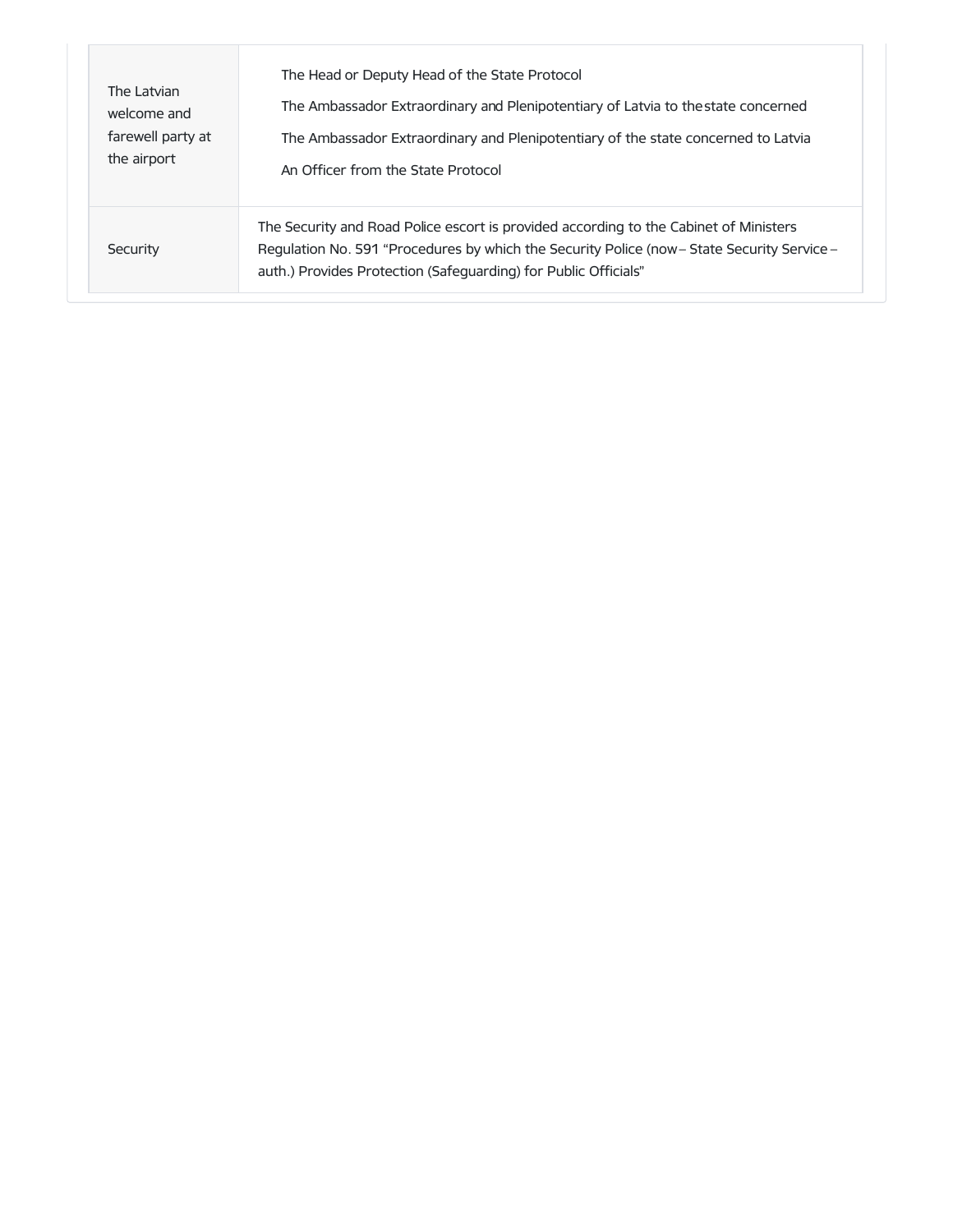| The Latvian       | The Head or Deputy Head of the State Protocol                                                                                                                                                                                                           |
|-------------------|---------------------------------------------------------------------------------------------------------------------------------------------------------------------------------------------------------------------------------------------------------|
| welcome and       | The Ambassador Extraordinary and Plenipotentiary of Latvia to the state concerned                                                                                                                                                                       |
| farewell party at | The Ambassador Extraordinary and Plenipotentiary of the state concerned to Latvia                                                                                                                                                                       |
| the airport       | An Officer from the State Protocol                                                                                                                                                                                                                      |
| Security          | The Security and Road Police escort is provided according to the Cabinet of Ministers<br>Regulation No. 591 "Procedures by which the Security Police (now - State Security Service -<br>auth.) Provides Protection (Safeguarding) for Public Officials" |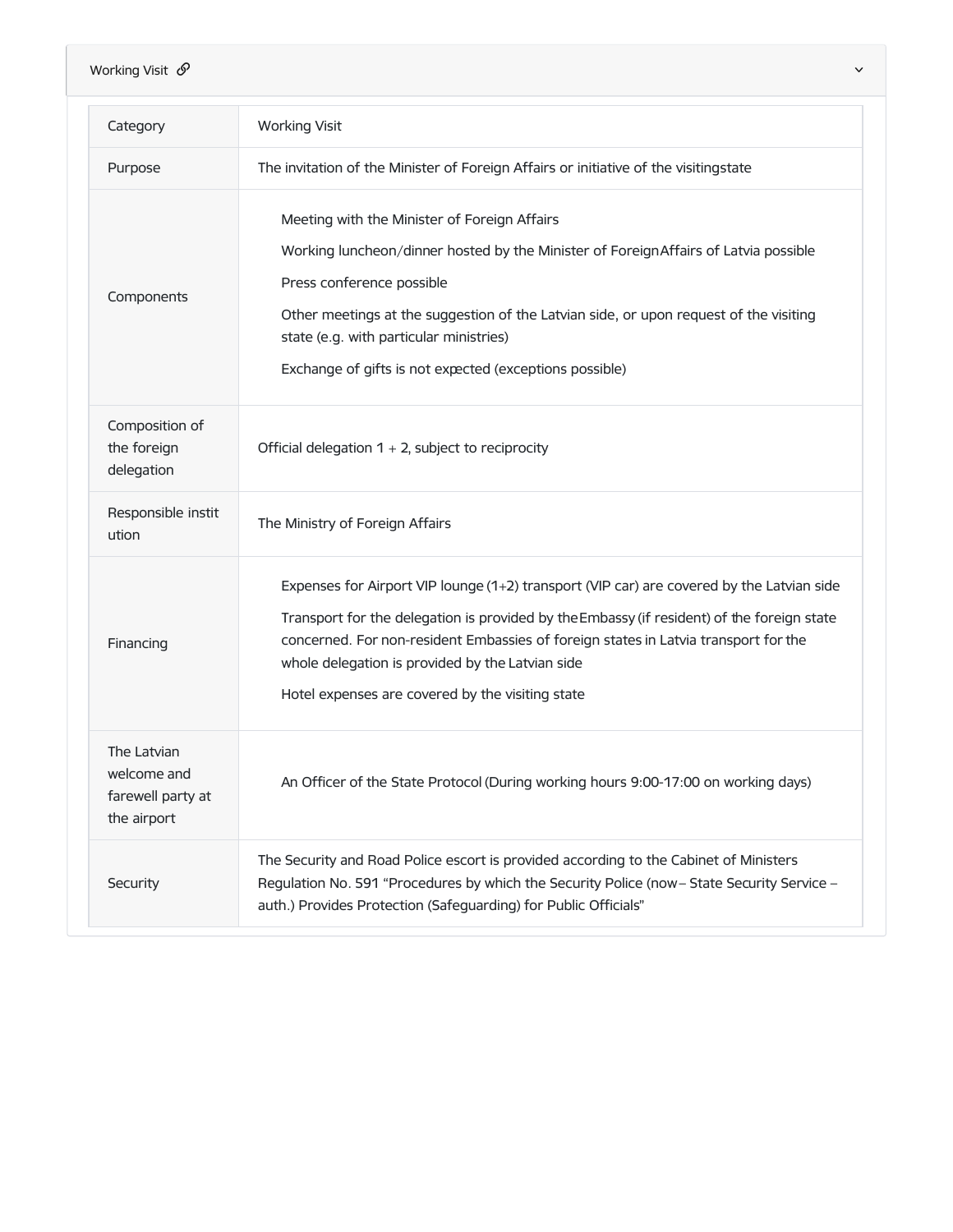| Working Visit $\mathcal{O}$<br>$\checkmark$                    |                                                                                                                                                                                                                                                                                                                                                                                        |  |
|----------------------------------------------------------------|----------------------------------------------------------------------------------------------------------------------------------------------------------------------------------------------------------------------------------------------------------------------------------------------------------------------------------------------------------------------------------------|--|
| Category                                                       | <b>Working Visit</b>                                                                                                                                                                                                                                                                                                                                                                   |  |
| Purpose                                                        | The invitation of the Minister of Foreign Affairs or initiative of the visitingstate                                                                                                                                                                                                                                                                                                   |  |
| Components                                                     | Meeting with the Minister of Foreign Affairs<br>Working luncheon/dinner hosted by the Minister of Foreign Affairs of Latvia possible<br>Press conference possible<br>Other meetings at the suggestion of the Latvian side, or upon request of the visiting<br>state (e.g. with particular ministries)<br>Exchange of gifts is not expected (exceptions possible)                       |  |
| Composition of<br>the foreign<br>delegation                    | Official delegation $1 + 2$ , subject to reciprocity                                                                                                                                                                                                                                                                                                                                   |  |
| Responsible instit<br>ution                                    | The Ministry of Foreign Affairs                                                                                                                                                                                                                                                                                                                                                        |  |
| Financing                                                      | Expenses for Airport VIP lounge (1+2) transport (VIP car) are covered by the Latvian side<br>Transport for the delegation is provided by the Embassy (if resident) of the foreign state<br>concerned. For non-resident Embassies of foreign states in Latvia transport for the<br>whole delegation is provided by the Latvian side<br>Hotel expenses are covered by the visiting state |  |
| The Latvian<br>welcome and<br>farewell party at<br>the airport | An Officer of the State Protocol (During working hours 9:00-17:00 on working days)                                                                                                                                                                                                                                                                                                     |  |
| Security                                                       | The Security and Road Police escort is provided according to the Cabinet of Ministers<br>Regulation No. 591 "Procedures by which the Security Police (now - State Security Service -<br>auth.) Provides Protection (Safeguarding) for Public Officials"                                                                                                                                |  |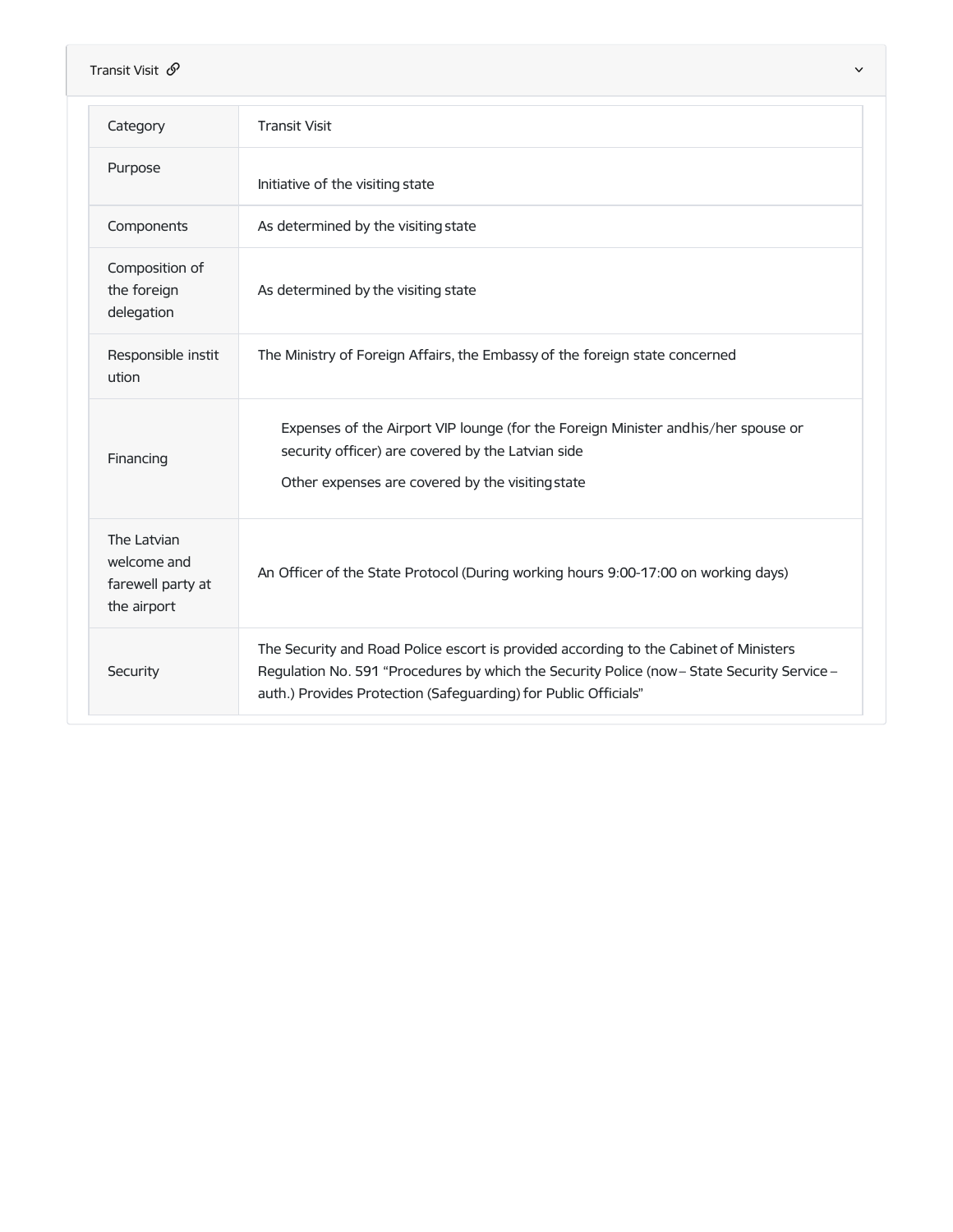| Transit Visit $\mathcal{O}$<br>$\checkmark$                    |                                                                                                                                                                                                                                                         |
|----------------------------------------------------------------|---------------------------------------------------------------------------------------------------------------------------------------------------------------------------------------------------------------------------------------------------------|
| Category                                                       | <b>Transit Visit</b>                                                                                                                                                                                                                                    |
| Purpose                                                        | Initiative of the visiting state                                                                                                                                                                                                                        |
| Components                                                     | As determined by the visiting state                                                                                                                                                                                                                     |
| Composition of<br>the foreign<br>delegation                    | As determined by the visiting state                                                                                                                                                                                                                     |
| Responsible instit<br>ution                                    | The Ministry of Foreign Affairs, the Embassy of the foreign state concerned                                                                                                                                                                             |
| Financing                                                      | Expenses of the Airport VIP lounge (for the Foreign Minister andhis/her spouse or<br>security officer) are covered by the Latvian side<br>Other expenses are covered by the visiting state                                                              |
| The Latvian<br>welcome and<br>farewell party at<br>the airport | An Officer of the State Protocol (During working hours 9:00-17:00 on working days)                                                                                                                                                                      |
| Security                                                       | The Security and Road Police escort is provided according to the Cabinet of Ministers<br>Regulation No. 591 "Procedures by which the Security Police (now - State Security Service -<br>auth.) Provides Protection (Safeguarding) for Public Officials" |